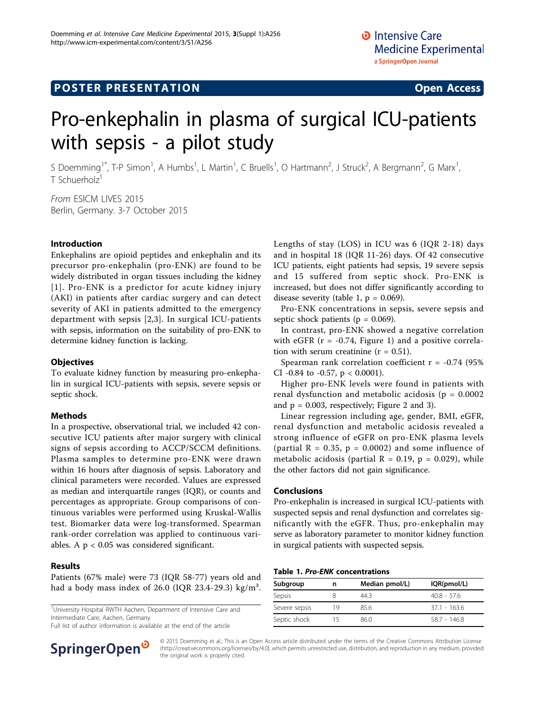# **POSTER PRESENTATION CONSUMING ACCESS**

# Pro-enkephalin in plasma of surgical ICU-patients with sepsis - a pilot study

S Doemming<sup>1\*</sup>, T-P Simon<sup>1</sup>, A Humbs<sup>1</sup>, L Martin<sup>1</sup>, C Bruells<sup>1</sup>, O Hartmann<sup>2</sup>, J Struck<sup>2</sup>, A Bergmann<sup>2</sup>, G Marx<sup>1</sup> , T Schuerholz<sup>1</sup>

From ESICM LIVES 2015 Berlin, Germany. 3-7 October 2015

# Introduction

Enkephalins are opioid peptides and enkephalin and its precursor pro-enkephalin (pro-ENK) are found to be widely distributed in organ tissues including the kidney [[1\]](#page-1-0). Pro-ENK is a predictor for acute kidney injury (AKI) in patients after cardiac surgery and can detect severity of AKI in patients admitted to the emergency department with sepsis [[2,3\]](#page-1-0). In surgical ICU-patients with sepsis, information on the suitability of pro-ENK to determine kidney function is lacking.

# **Objectives**

To evaluate kidney function by measuring pro-enkephalin in surgical ICU-patients with sepsis, severe sepsis or septic shock.

# Methods

In a prospective, observational trial, we included 42 consecutive ICU patients after major surgery with clinical signs of sepsis according to ACCP/SCCM definitions. Plasma samples to determine pro-ENK were drawn within 16 hours after diagnosis of sepsis. Laboratory and clinical parameters were recorded. Values are expressed as median and interquartile ranges (IQR), or counts and percentages as appropriate. Group comparisons of continuous variables were performed using Kruskal-Wallis test. Biomarker data were log-transformed. Spearman rank-order correlation was applied to continuous variables. A p < 0.05 was considered significant.

# Results

Patients (67% male) were 73 (IQR 58-77) years old and had a body mass index of 26.0 (IQR 23.4-29.3) kg/m².

<sup>1</sup>University Hospital RWTH Aachen, Department of Intensive Care and Intermediate Care, Aachen, Germany

Full list of author information is available at the end of the article



Lengths of stay (LOS) in ICU was 6 (IQR 2-18) days and in hospital 18 (IQR 11-26) days. Of 42 consecutive ICU patients, eight patients had sepsis, 19 severe sepsis and 15 suffered from septic shock. Pro-ENK is increased, but does not differ significantly according to disease severity (table 1,  $p = 0.069$ ).

Pro-ENK concentrations in sepsis, severe sepsis and septic shock patients ( $p = 0.069$ ).

In contrast, pro-ENK showed a negative correlation with eGFR ( $r = -0.74$ , Figure [1\)](#page-1-0) and a positive correlation with serum creatinine  $(r = 0.51)$ .

Spearman rank correlation coefficient  $r = -0.74$  (95%) CI -0.84 to -0.57,  $p < 0.0001$ ).

Higher pro-ENK levels were found in patients with renal dysfunction and metabolic acidosis ( $p = 0.0002$ and  $p = 0.003$ , respectively; Figure [2](#page-1-0) and [3](#page-1-0)).

Linear regression including age, gender, BMI, eGFR, renal dysfunction and metabolic acidosis revealed a strong influence of eGFR on pro-ENK plasma levels (partial  $R = 0.35$ ,  $p = 0.0002$ ) and some influence of metabolic acidosis (partial  $R = 0.19$ ,  $p = 0.029$ ), while the other factors did not gain significance.

# Conclusions

Pro-enkephalin is increased in surgical ICU-patients with suspected sepsis and renal dysfunction and correlates significantly with the eGFR. Thus, pro-enkephalin may serve as laboratory parameter to monitor kidney function in surgical patients with suspected sepsis.

| Subgroup      | n   | Median pmol/L) | IQR(pmol/L)   |
|---------------|-----|----------------|---------------|
| Sepsis        |     | 443            | $40.8 - 57.6$ |
| Severe sepsis | 19  | 856            | 371 - 1636    |
| Septic shock  | ל 1 | 86.0           | 587 - 1468    |

© 2015 Doemming et al.; This is an Open Access article distributed under the terms of the Creative Commons Attribution License [\(http://creativecommons.org/licenses/by/4.0](http://creativecommons.org/licenses/by/4.0)), which permits unrestricted use, distribution, and reproduction in any medium, provided the original work is properly cited.